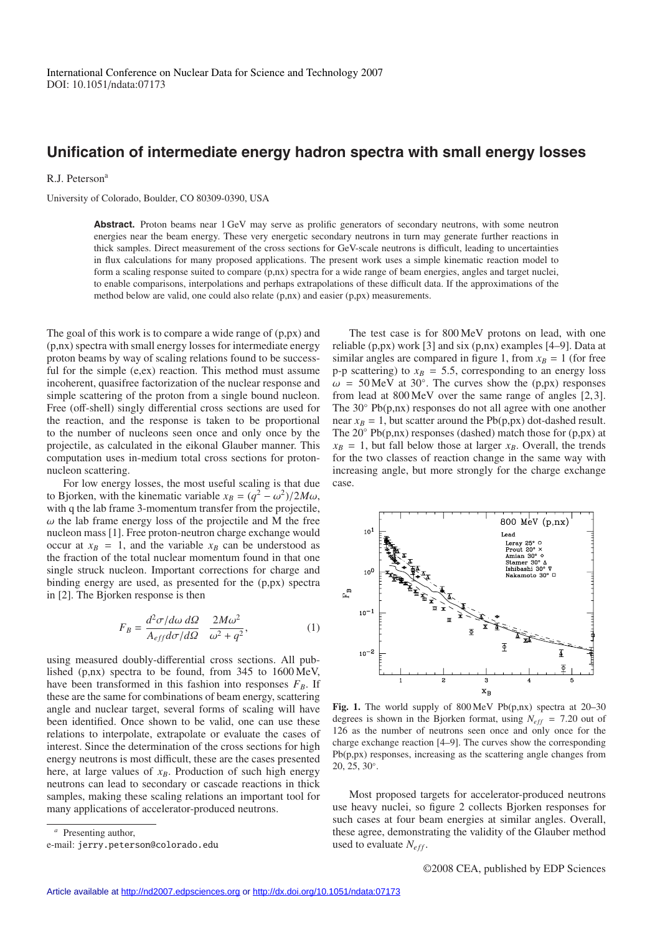## **Unification of intermediate energy hadron spectra with small energy losses**

R.J. Peterson<sup>a</sup>

University of Colorado, Boulder, CO 80309-0390, USA

Abstract. Proton beams near 1 GeV may serve as prolific generators of secondary neutrons, with some neutron energies near the beam energy. These very energetic secondary neutrons in turn may generate further reactions in thick samples. Direct measurement of the cross sections for GeV-scale neutrons is difficult, leading to uncertainties in flux calculations for many proposed applications. The present work uses a simple kinematic reaction model to form a scaling response suited to compare (p,nx) spectra for a wide range of beam energies, angles and target nuclei, to enable comparisons, interpolations and perhaps extrapolations of these difficult data. If the approximations of the method below are valid, one could also relate (p,nx) and easier (p,px) measurements.

The goal of this work is to compare a wide range of (p,px) and (p,nx) spectra with small energy losses for intermediate energy proton beams by way of scaling relations found to be successful for the simple (e,ex) reaction. This method must assume incoherent, quasifree factorization of the nuclear response and simple scattering of the proton from a single bound nucleon. Free (off-shell) singly differential cross sections are used for the reaction, and the response is taken to be proportional to the number of nucleons seen once and only once by the projectile, as calculated in the eikonal Glauber manner. This computation uses in-medium total cross sections for protonnucleon scattering.

For low energy losses, the most useful scaling is that due to Bjorken, with the kinematic variable  $x_B = (q^2 - \omega^2)/2M\omega$ , with q the lab frame 3-momentum transfer from the projectile,  $\omega$  the lab frame energy loss of the projectile and M the free nucleon mass [1]. Free proton-neutron charge exchange would occur at  $x_B = 1$ , and the variable  $x_B$  can be understood as the fraction of the total nuclear momentum found in that one single struck nucleon. Important corrections for charge and binding energy are used, as presented for the (p,px) spectra in [2]. The Bjorken response is then

$$
F_B = \frac{d^2 \sigma / d\omega \, d\Omega}{A_{eff} d\sigma / d\Omega} \quad \frac{2M\omega^2}{\omega^2 + q^2},\tag{1}
$$

using measured doubly-differential cross sections. All published (p,nx) spectra to be found, from 345 to 1600 MeV, have been transformed in this fashion into responses  $F_B$ . If these are the same for combinations of beam energy, scattering angle and nuclear target, several forms of scaling will have been identified. Once shown to be valid, one can use these relations to interpolate, extrapolate or evaluate the cases of interest. Since the determination of the cross sections for high energy neutrons is most difficult, these are the cases presented here, at large values of  $x_B$ . Production of such high energy neutrons can lead to secondary or cascade reactions in thick samples, making these scaling relations an important tool for many applications of accelerator-produced neutrons.

The test case is for 800 MeV protons on lead, with one reliable (p,px) work [3] and six (p,nx) examples [4–9]. Data at similar angles are compared in figure 1, from  $x_B = 1$  (for free p-p scattering) to  $x_B = 5.5$ , corresponding to an energy loss  $\omega$  = 50 MeV at 30°. The curves show the (p,px) responses from lead at 800 MeV over the same range of angles [2, 3]. The 30◦ Pb(p,nx) responses do not all agree with one another near  $x_B = 1$ , but scatter around the Pb(p,px) dot-dashed result. The  $20^\circ$  Pb(p,nx) responses (dashed) match those for (p,px) at  $x_B = 1$ , but fall below those at larger  $x_B$ . Overall, the trends for the two classes of reaction change in the same way with increasing angle, but more strongly for the charge exchange case.



**Fig. 1.** The world supply of 800 MeV Pb(p,nx) spectra at 20–30 degrees is shown in the Bjorken format, using  $N_{\text{eff}} = 7.20$  out of 126 as the number of neutrons seen once and only once for the charge exchange reaction [4–9]. The curves show the corresponding Pb(p,px) responses, increasing as the scattering angle changes from 20, 25, 30◦.

Most proposed targets for accelerator-produced neutrons use heavy nuclei, so figure 2 collects Bjorken responses for such cases at four beam energies at similar angles. Overall, these agree, demonstrating the validity of the Glauber method used to evaluate  $N_{eff}$ .

*<sup>a</sup>* Presenting author,

e-mail: jerry.peterson@colorado.edu